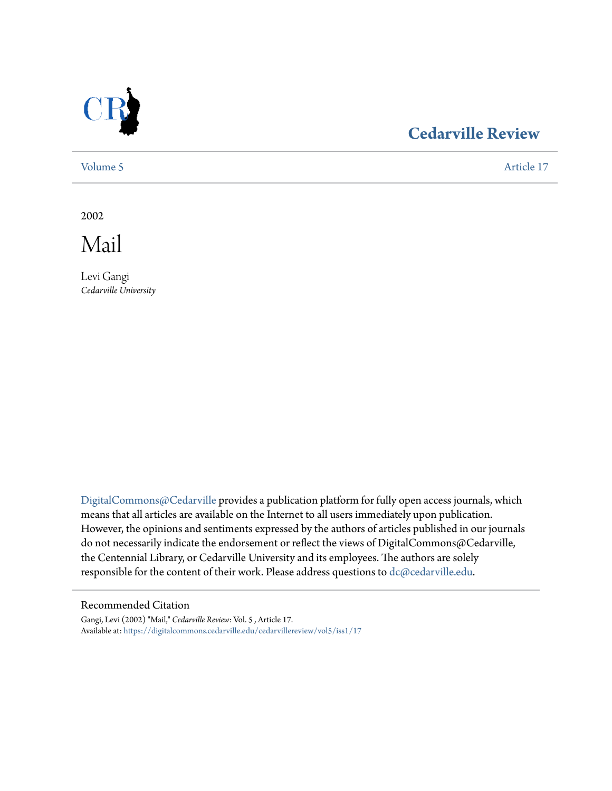

# **[Cedarville Review](https://digitalcommons.cedarville.edu/cedarvillereview?utm_source=digitalcommons.cedarville.edu%2Fcedarvillereview%2Fvol5%2Fiss1%2F17&utm_medium=PDF&utm_campaign=PDFCoverPages)**

[Volume 5](https://digitalcommons.cedarville.edu/cedarvillereview/vol5?utm_source=digitalcommons.cedarville.edu%2Fcedarvillereview%2Fvol5%2Fiss1%2F17&utm_medium=PDF&utm_campaign=PDFCoverPages) [Article 17](https://digitalcommons.cedarville.edu/cedarvillereview/vol5/iss1/17?utm_source=digitalcommons.cedarville.edu%2Fcedarvillereview%2Fvol5%2Fiss1%2F17&utm_medium=PDF&utm_campaign=PDFCoverPages)

2002

Mail

Levi Gangi *Cedarville University*

[DigitalCommons@Cedarville](http://digitalcommons.cedarville.edu) provides a publication platform for fully open access journals, which means that all articles are available on the Internet to all users immediately upon publication. However, the opinions and sentiments expressed by the authors of articles published in our journals do not necessarily indicate the endorsement or reflect the views of DigitalCommons@Cedarville, the Centennial Library, or Cedarville University and its employees. The authors are solely responsible for the content of their work. Please address questions to [dc@cedarville.edu](mailto:dc@cedarville.edu).

#### Recommended Citation

Gangi, Levi (2002) "Mail," *Cedarville Review*: Vol. 5 , Article 17. Available at: [https://digitalcommons.cedarville.edu/cedarvillereview/vol5/iss1/17](https://digitalcommons.cedarville.edu/cedarvillereview/vol5/iss1/17?utm_source=digitalcommons.cedarville.edu%2Fcedarvillereview%2Fvol5%2Fiss1%2F17&utm_medium=PDF&utm_campaign=PDFCoverPages)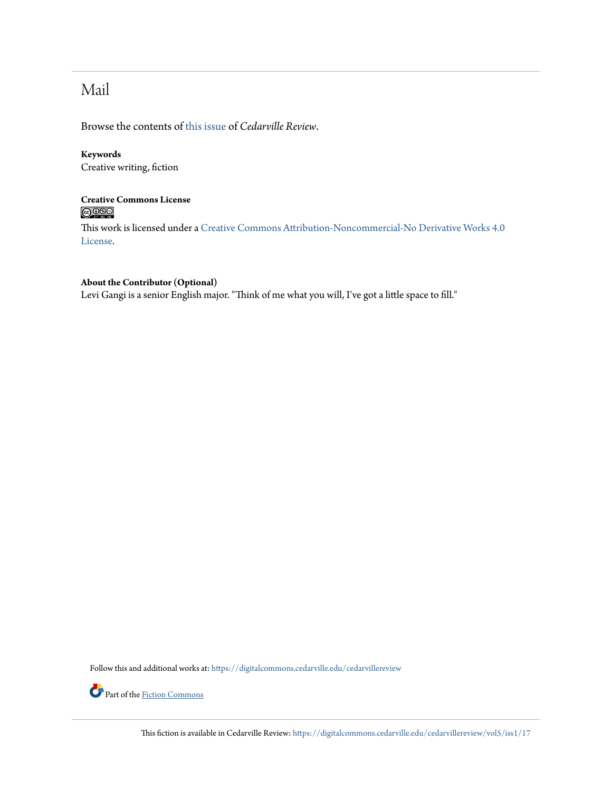# Mail

Browse the contents of [this issue](https://digitalcommons.cedarville.edu/cedarvillereview/vol5/iss1) of *Cedarville Review*.

### **Keywords**

Creative writing, fiction

### **Creative Commons License**  $\bigcirc$   $\circ$

This work is licensed under a [Creative Commons Attribution-Noncommercial-No Derivative Works 4.0](http://creativecommons.org/licenses/by-nc-nd/4.0/) [License.](http://creativecommons.org/licenses/by-nc-nd/4.0/)

#### **About the Contributor (Optional)**

Levi Gangi is a senior English major. "Think of me what you will, I've got a little space to fill."

Follow this and additional works at: [https://digitalcommons.cedarville.edu/cedarvillereview](https://digitalcommons.cedarville.edu/cedarvillereview?utm_source=digitalcommons.cedarville.edu%2Fcedarvillereview%2Fvol5%2Fiss1%2F17&utm_medium=PDF&utm_campaign=PDFCoverPages)



Part of the <u>[Fiction Commons](http://network.bepress.com/hgg/discipline/1151?utm_source=digitalcommons.cedarville.edu%2Fcedarvillereview%2Fvol5%2Fiss1%2F17&utm_medium=PDF&utm_campaign=PDFCoverPages)</u>

This fiction is available in Cedarville Review: [https://digitalcommons.cedarville.edu/cedarvillereview/vol5/iss1/17](https://digitalcommons.cedarville.edu/cedarvillereview/vol5/iss1/17?utm_source=digitalcommons.cedarville.edu%2Fcedarvillereview%2Fvol5%2Fiss1%2F17&utm_medium=PDF&utm_campaign=PDFCoverPages)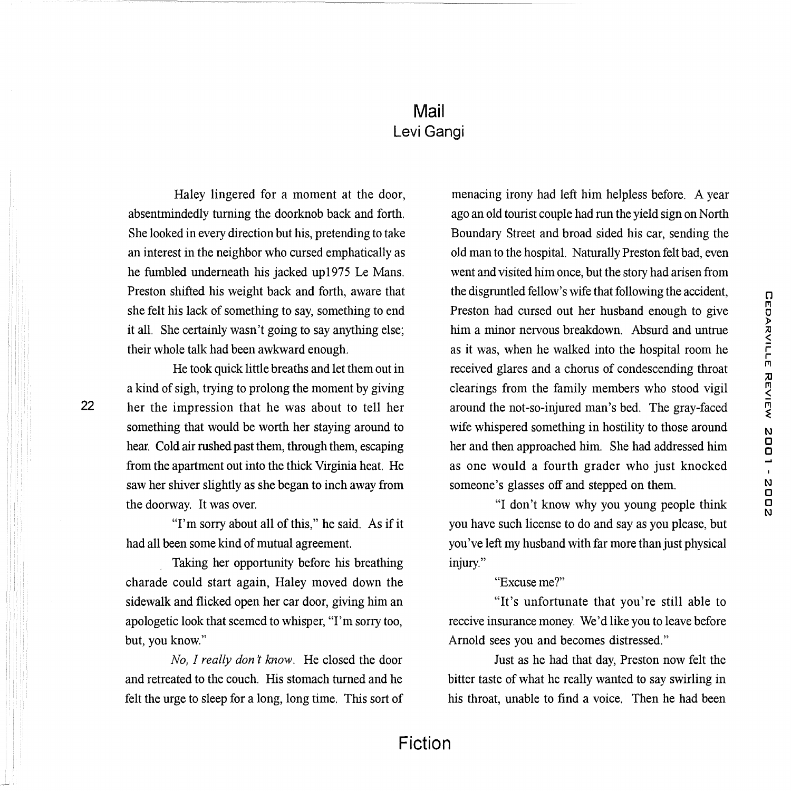## **Mail**  Levi Gangi

Haley lingered for a moment at the door, absentmindedly turning the doorknob back and forth. She looked in every direction but his, pretending to take an interest in the neighbor who cursed emphatically as he fumbled underneath his jacked upl975 Le Mans. Preston shifted his weight back and forth, aware that she felt his lack of something to say, something to end it all. She certainly wasn't going to say anything else; their whole talk had been awkward enough.

He took quick little breaths and let them out in a kind of sigh, trying to prolong the moment by giving her the impression that he was about to tell her something that would be worth her staying around to hear. Cold air rushed past them, through them, escaping from the apartment out into the thick Virginia heat. He saw her shiver slightly as she began to inch away from the doorway. It was over.

22

"I'm sorry about all of this," he said. As if it had all been some kind of mutual agreement.

Taking her opportunity before his breathing charade could start again, Haley moved down the sidewalk and flicked open her car door, giving him an apologetic look that seemed to whisper, "I'm sorry too, but, you know."

*No, I really don't know.* He closed the door and retreated to the couch. His stomach turned and he felt the urge to sleep for a long, long time. This sort of

menacing irony had left him helpless before. A year ago an old tourist couple had run the yield sign on North Boundary Street and broad sided his car, sending the old man to the hospital. Naturally Preston felt bad, even went and visited him once, but the story had arisen from the disgruntled fellow's wife that following the accident, Preston had cursed out her husband enough to give him a minor nervous breakdown. Absurd and untrue as it was, when he walked into the hospital room he received glares and a chorus of condescending throat clearings from the family members who stood vigil around the not-so-injured man's bed. The gray-faced wife whispered something in hostility to those around her and then approached him. She had addressed him as one would a fourth grader who just knocked someone's glasses off and stepped on them.

"I don't know why you young people think you have such license to do and say as you please, but you've left my husband with far more than just physical injury."

#### "Excuse me?"

"It's unfortunate that you're still able to receive insurance money. We'd like you to leave before Arnold sees you and becomes distressed."

Just as he had that day, Preston now felt the bitter taste of what he really wanted to say swirling in his throat, unable to find a voice. Then he had been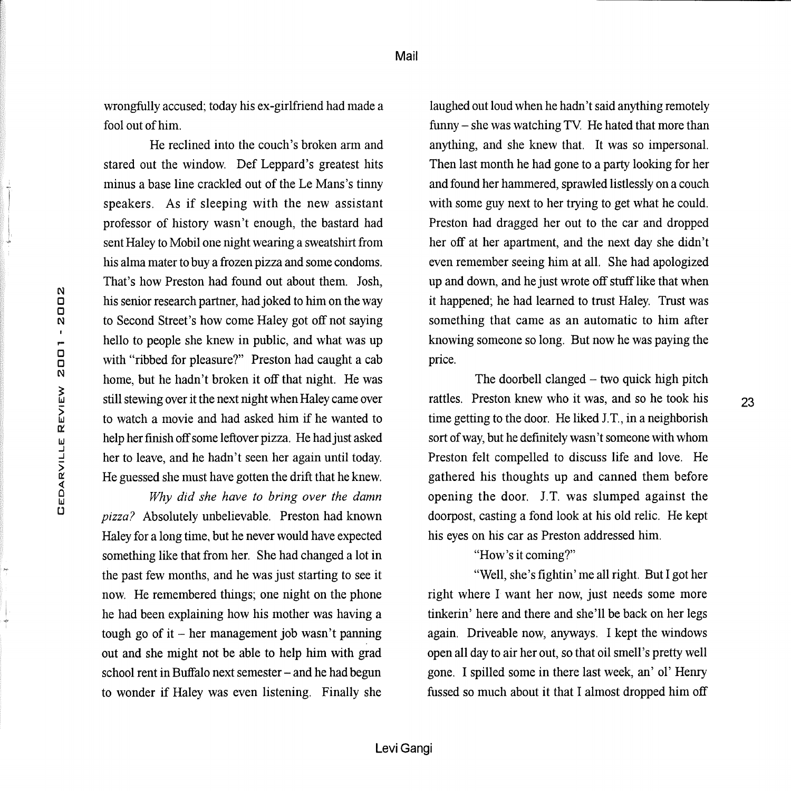wrongfully accused; today his ex-girlfriend had made a fool out of him.

He reclined into the couch's broken arm and stared out the window. Def Leppard's greatest hits minus a base line crackled out of the Le Mans's tinny speakers. As if sleeping with the new assistant professor of history wasn't enough, the bastard had sent Haley to Mobil one night wearing a sweatshirt from his alma mater to buy a frozen pizza and some condoms. That's how Preston had found out about them. Josh, his senior research partner, had joked to him on the way to Second Street's how come Haley got off not saying hello to people she knew in public, and what was up with "ribbed for pleasure?" Preston had caught a cab home, but he hadn't broken it off that night. He was still stewing over it the next night when Haley came over to watch a movie and had asked him if he wanted to help her finish off some leftover pizza. He had just asked her to leave, and he hadn't seen her again until today. He guessed she must have gotten the drift that he knew.

*Why did she have to bring over the damn pizza?* Absolutely unbelievable. Preston had known Haley for a long time, but he never would have expected something like that from her. She had changed a lot in the past few months, and he was just starting to see it now. He remembered things; one night on the phone he had been explaining how his mother was having a tough go of it  $-$  her management job wasn't panning out and she might not be able to help him with grad school rent in Buffalo next semester - and he had begun to wonder if Haley was even listening. Finally she

laughed out loud when he hadn't said anything remotely  $funny - she was watching TV$ . He hated that more than anything, and she knew that. It was so impersonal. Then last month he had gone to a party looking for her and found her hammered, sprawled listlessly on a couch with some guy next to her trying to get what he could. Preston had dragged her out to the car and dropped her off at her apartment, and the next day she didn't even remember seeing him at all. She had apologized up and down, and he just wrote off stuff like that when it happened; he had learned to trust Haley. Trust was something that came as an automatic to him after knowing someone so long. But now he was paying the price.

The doorbell clanged  $-$  two quick high pitch rattles. Preston knew who it was, and so he took his time getting to the door. He liked J. T., in a neighborish sort of way, but he definitely wasn't someone with whom Preston felt compelled to discuss life and love. He gathered his thoughts up and canned them before opening the door. J.T. was slumped against the doorpost, casting a fond look at his old relic. He kept his eyes on his car as Preston addressed him.

23

"How's it coming?"

"Well, she's fightin' me all right. But I got her right where I want her now, just needs some more tinkerin' here and there and she'll be back on her legs again. Driveable now, anyways. I kept the windows open all day to air her out, so that oil smell's pretty well gone. I spilled some in there last week, an' ol' Henry fussed so much about it that I almost dropped him off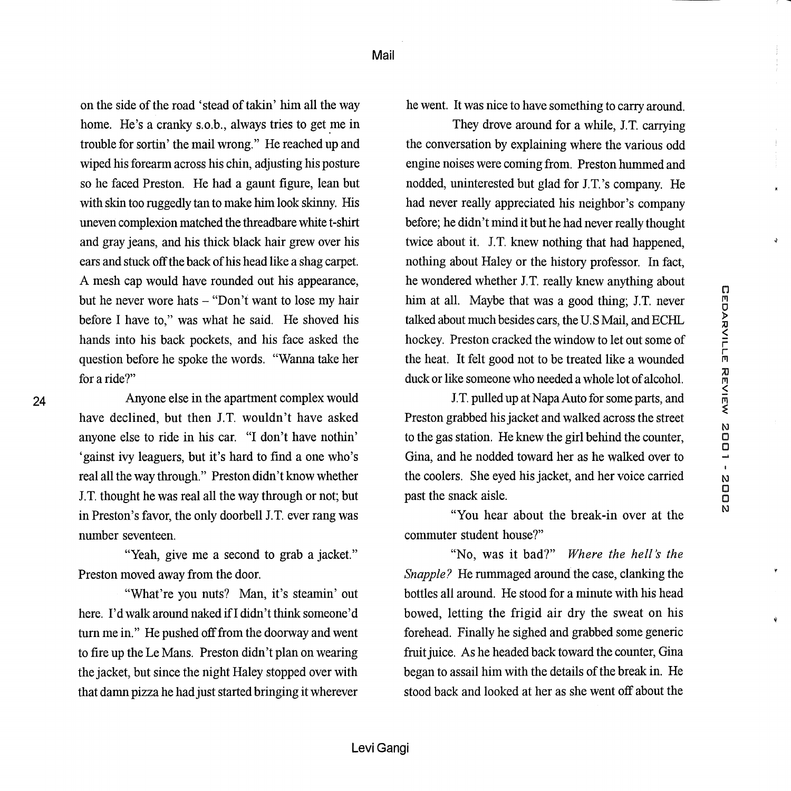on the side of the road 'stead of takin' him all the way home. He's a cranky s.o.b., always tries to get me in trouble for sortin' the mail wrong." He reached up and wiped his forearm across his chin, adjusting his posture so he faced Preston. He had a gaunt figure, lean but with skin too ruggedly tan to make him look skinny. His uneven complexion matched the threadbare white t-shirt and gray jeans, and his thick black hair grew over his ears and stuck off the back of his head like a shag carpet. A mesh cap would have rounded out his appearance, but he never wore hats - "Don't want to lose my hair before I have to," was what he said. He shoved his hands into his back pockets, and his face asked the question before he spoke the words. "Wanna take her for a ride?"

Anyone else in the apartment complex would have declined, but then J.T. wouldn't have asked anyone else to ride in his car. "I don't have nothin' 'gainst ivy leaguers, but it's hard to find a one who's real all the way through." Preston didn't know whether J.T. thought he was real all the way through or not; but in Preston's favor, the only doorbell J.T. ever rang was number seventeen.

"Yeah, give me a second to grab a jacket." Preston moved away from the door.

"What're you nuts? Man, it's steamin' out here. I'd walk around naked if I didn't think someone'd turn me in." He pushed off from the doorway and went to fire up the Le Mans. Preston didn't plan on wearing the jacket, but since the night Haley stopped over with that damn pizza he had just started bringing it wherever

he went. It was nice to have something to carry around.

They drove around for a while, J.T. carrying the conversation by explaining where the various odd engine noises were coming from. Preston hummed and nodded, uninterested but glad for J.T.'s company. He had never really appreciated his neighbor's company before; he didn't mind it but he had never really thought twice about it. J.T. knew nothing that had happened, nothing about Haley or the history professor. In fact, he wondered whether J.T. really knew anything about him at all. Maybe that was a good thing; J.T. never talked about much besides cars, the U.S Mail, and ECHL hockey. Preston cracked the window to let out some of the heat. It felt good not to be treated like a wounded duck or like someone who needed a whole lot of alcohol.

Ý.

GEDARVILLE REVIEW 2001 - 2002

J.T. pulled up at Napa Auto for some parts, and Preston grabbed his jacket and walked across the street to the gas station. He knew the girl behind the counter, Gina, and he nodded toward her as he walked over to the coolers. She eyed his jacket, and her voice carried past the snack aisle.

"You hear about the break-in over at the commuter student house?"

"No, was it bad?" Where the hell's the Snapple? He rummaged around the case, clanking the bottles all around. He stood for a minute with his head bowed, letting the frigid air dry the sweat on his forehead. Finally he sighed and grabbed some generic fruit juice. As he headed back toward the counter, Gina began to assail him with the details of the break in. He stood back and looked at her as she went off about the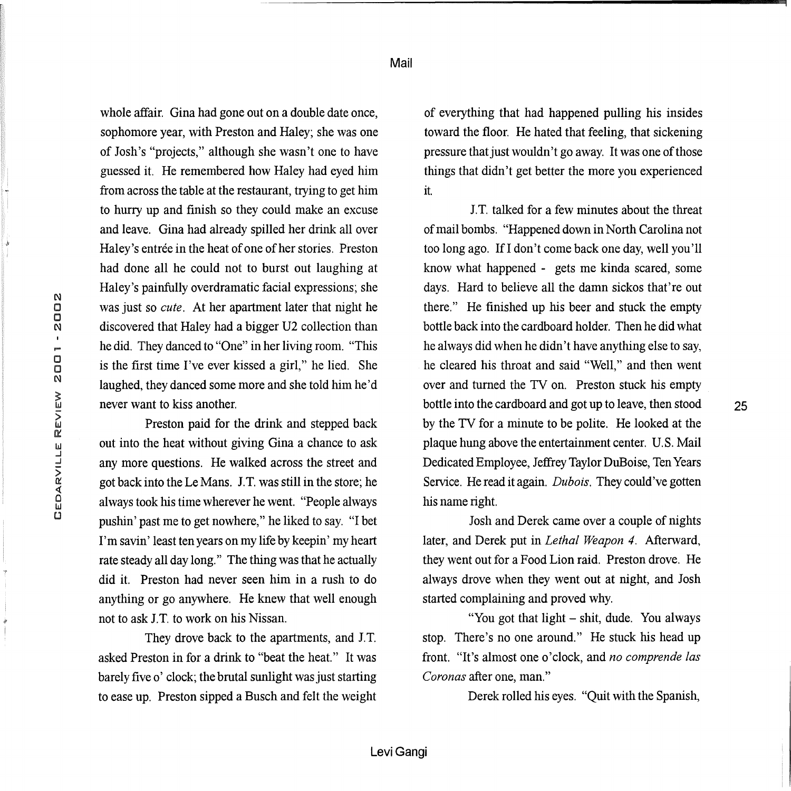Mail

whole affair. Gina had gone out on a double date once, sophomore year, with Preston and Haley; she was one of Josh's "projects," although she wasn't one to have guessed it. He remembered how Haley had eyed him from across the table at the restaurant, trying to get him to hurry up and finish so they could make an excuse and leave. Gina had already spilled her drink all over Haley's entrée in the heat of one of her stories. Preston had done all he could not to burst out laughing at Haley's painfully overdramatic facial expressions; she was just so *cute.* At her apartment later that night he discovered that Haley had a bigger U2 collection than he did. They danced to "One" in her living room. "This is the first time I've ever kissed a girl," he lied. She laughed, they danced some more and she told him he'd never want to kiss another.

Preston paid for the drink and stepped back out into the heat without giving Gina a chance to ask any more questions. He walked across the street and got back into the Le Mans. J. T. was still in the store; he always took his time wherever he went. "People always pushin' past me to get nowhere," he liked to say. "I bet I'm savin' least ten years on my life by keepin' my heart rate steady all day long." The thing was that he actually did it. Preston had never seen him in a rush to do anything or go anywhere. He knew that well enough not to ask J. T. to work on his Nissan.

They drove back to the apartments, and J.T. asked Preston in for a drink to "beat the heat." It was barely five o' clock; the brutal sunlight was just starting to ease up. Preston sipped a Busch and felt the weight

of everything that had happened pulling his insides toward the floor. He hated that feeling, that sickening pressure that just wouldn't go away. It was one of those things that didn't get better the more you experienced it.

J. T. talked for a few minutes about the threat of mail bombs. "Happened down in North Carolina not too long ago. Ifl don't come back one day, well you'll know what happened - gets me kinda scared, some days. Hard to believe all the damn sickos that're out there." He finished up his beer and stuck the empty bottle back into the cardboard holder. Then he did what he always did when he didn't have anything else to say, he cleared his throat and said "Well," and then went over and turned the TV on. Preston stuck his empty bottle into the cardboard and got up to leave, then stood by the TV for a minute to be polite. He looked at the plaque hung above the entertainment center. U.S. Mail Dedicated Employee, Jeffrey Taylor DuBoise, Ten Years Service. He read it again. *Dubois.* They could've gotten his name right.

Josh and Derek came over a couple of nights later, and Derek put in *Lethal Weapon 4.* Afterward, they went out for a Food Lion raid. Preston drove. He always drove when they went out at night, and Josh started complaining and proved why.

"You got that light - shit, dude. You always stop. There's no one around." He stuck his head up front. "It's almost one o'clock, and *no comprende las Coronas* after one, man."

Derek rolled his eyes. "Quit with the Spanish,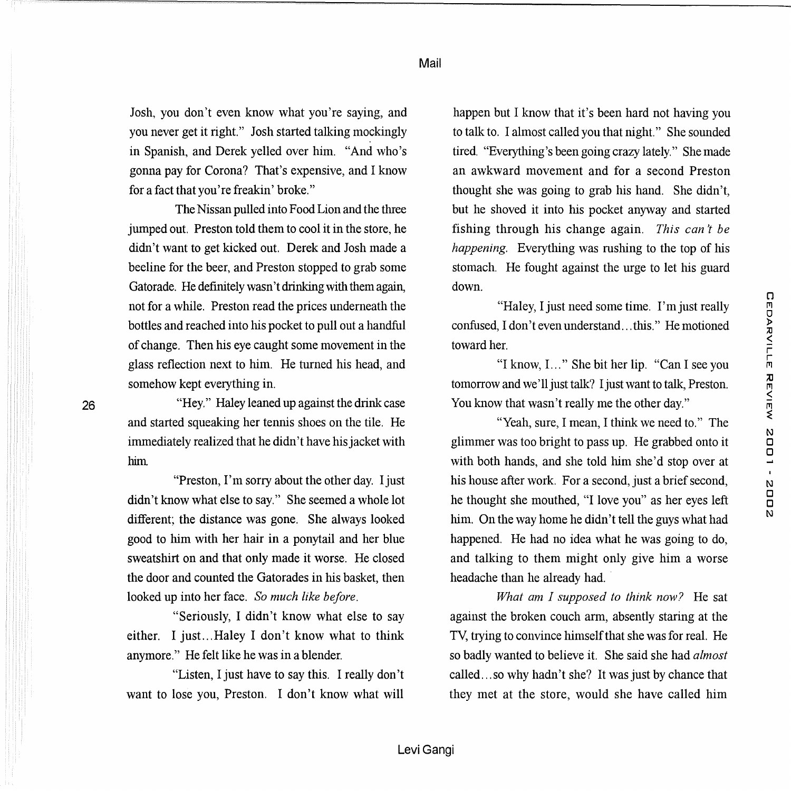C1 1"11 0 )> ;c

inne Beview.

N CJ CJ

N CJ CJ N

Josh, you don't even know what you're saying, and you never get it right." Josh started talking mockingly in Spanish, and Derek yelled over him. "And who's gonna pay for Corona? That's expensive, and I know for a fact that you're freakin' broke."

The Nissan pulled into Food Lion and the three jumped out. Preston told them to cool it in the store, he didn't want to get kicked out. Derek and Josh made a beeline for the beer, and Preston stopped to grab some Gatorade. He definitely wasn't drinking with them again, not for a while. Preston read the prices underneath the bottles and reached into his pocket to pull out a handful of change. Then his eye caught some movement in the glass reflection next to him. He turned his head, and somehow kept everything in.

"Hey." Haley leaned up against the drink case and started squeaking her tennis shoes on the tile. He immediately realized that he didn't have his jacket with him

"Preston, I'm sorry about the other day. I just didn't know what else to say." She seemed a whole lot different; the distance was gone. She always looked good to him with her hair in a ponytail and her blue sweatshirt on and that only made it worse. He closed the door and counted the Gatorades in his basket, then looked up into her face. *So much like before.* 

"Seriously, I didn't know what else to say either. I just...Haley I don't know what to think anymore." He felt like he was in a blender.

"Listen, I just have to say this. I really don't want to lose you, Preston. I don't know what will

happen but I know that it's been hard not having you to talk to. I almost called you that night." She sounded tired. "Everything's been going crazy lately." She made an awkward movement and for a second Preston thought she was going to grab his hand. She didn't, but he shoved it into his pocket anyway and started fishing through his change again. *This can't be happening.* Everything was rushing to the top of his stomach. He fought against the urge to let his guard down.

"Haley, I just need some time. I'm just really confused, I don't even understand ... this." He motioned toward her.

"I know, I. .. " She bit her lip. "Can I see you tomorrow and we'll just talk? I just want to talk, Preston. You know that wasn't really me the other day."

"Yeah, sure, I mean, I think we need to." The glimmer was too bright to pass up. He grabbed onto it with both hands, and she told him she'd stop over at his house after work. For a second, just a brief second, he thought she mouthed, "I love you" as her eyes left him. On the way home he didn't tell the guys what had happened. He had no idea what he was going to do, and talking to them might only give him a worse headache than he already had.

*What am I supposed to think now?* He sat against the broken couch arm, absently staring at the TY, trying to convince himself that she was for real. He so badly wanted to believe it. She said she had *almost*  called ... so why hadn't she? It was just by chance that they met at the store, would she have called him

Mail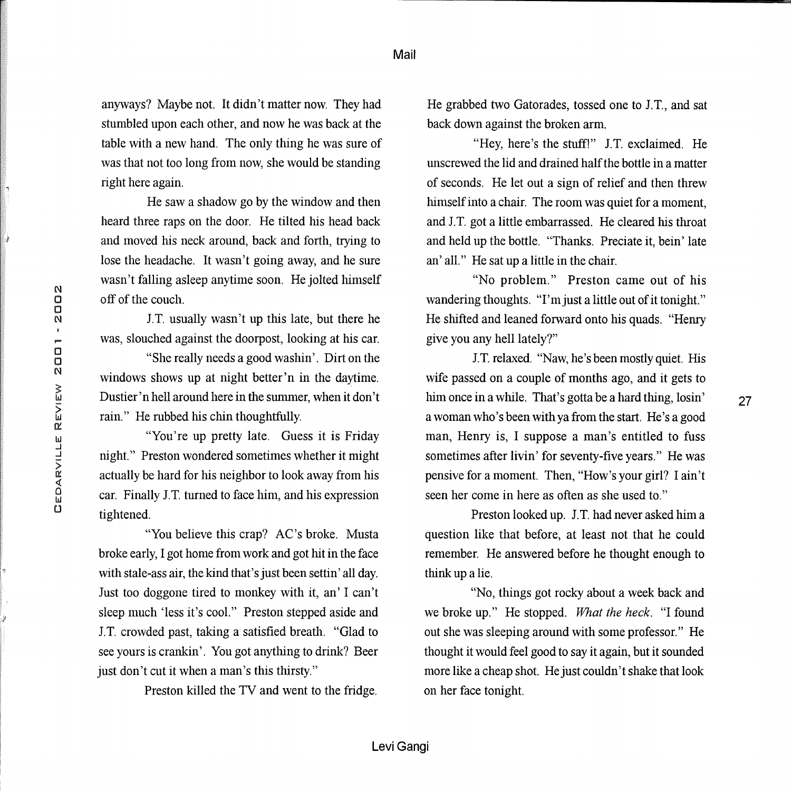anyways? Maybe not. It didn't matter now. They had stumbled upon each other, and now he was back at the table with a new hand. The only thing he was sure of was that not too long from now, she would be standing right here again.

He saw a shadow go by the window and then heard three raps on the door. He tilted his head back and moved his neck around, back and forth, trying to lose the headache. It wasn't going away, and he sure wasn't falling asleep anytime soon. He jolted himself off of the couch.

J. T. usually wasn't up this late, but there he was, slouched against the doorpost, looking at his car.

"She really needs a good washin'. Dirt on the windows shows up at night better'n in the daytime. Dustier' n hell around here in the summer, when it don't rain." He rubbed his chin thoughtfully.

"You're up pretty late. Guess it is Friday night." Preston wondered sometimes whether it might actually be hard for his neighbor to look away from his car. Finally J.T. turned to face him, and his expression tightened.

"You believe this crap? AC's broke. Musta broke early, I got home from work and got hit in the face with stale-ass air, the kind that's just been settin' all day. Just too doggone tired to monkey with it, an' I can't sleep much 'less it's cool." Preston stepped aside and J.T. crowded past, taking a satisfied breath. "Glad to see yours is crankin'. You got anything to drink? Beer just don't cut it when a man's this thirsty."

Preston killed the TV and went to the fridge.

He grabbed two Gatorades, tossed one to J. T., and sat back down against the broken arm.

"Hey, here's the stuff!" J.T. exclaimed. He unscrewed the lid and drained half the bottle in a matter of seconds. He let out a sign of relief and then threw himself into a chair. The room was quiet for a moment, and J.T. got a little embarrassed. He cleared his throat and held up the bottle. "Thanks. Preciate it, bein' late an' all." He sat up a little in the chair.

"No problem." Preston came out of his wandering thoughts. "I'm just a little out of it tonight." He shifted and leaned forward onto his quads. "Henry give you any hell lately?"

J. T. relaxed. "Naw, he's been mostly quiet. His wife passed on a couple of months ago, and it gets to him once in a while. That's gotta be a hard thing, losin' a woman who's been with ya from the start. He's a good man, Henry is, I suppose a man's entitled to fuss sometimes after livin' for seventy-five years." He was pensive for a moment. Then, "How's your girl? I ain't seen her come in here as often as she used to."

27

Preston looked up. J.T. had never asked him a question like that before, at least not that he could remember. He answered before he thought enough to think up a lie.

"No, things got rocky about a week back and we broke up." He stopped. *What the heck*. "I found out she was sleeping around with some professor." He thought it would feel good to say it again, but it sounded more like a cheap shot. He just couldn't shake that look on her face tonight.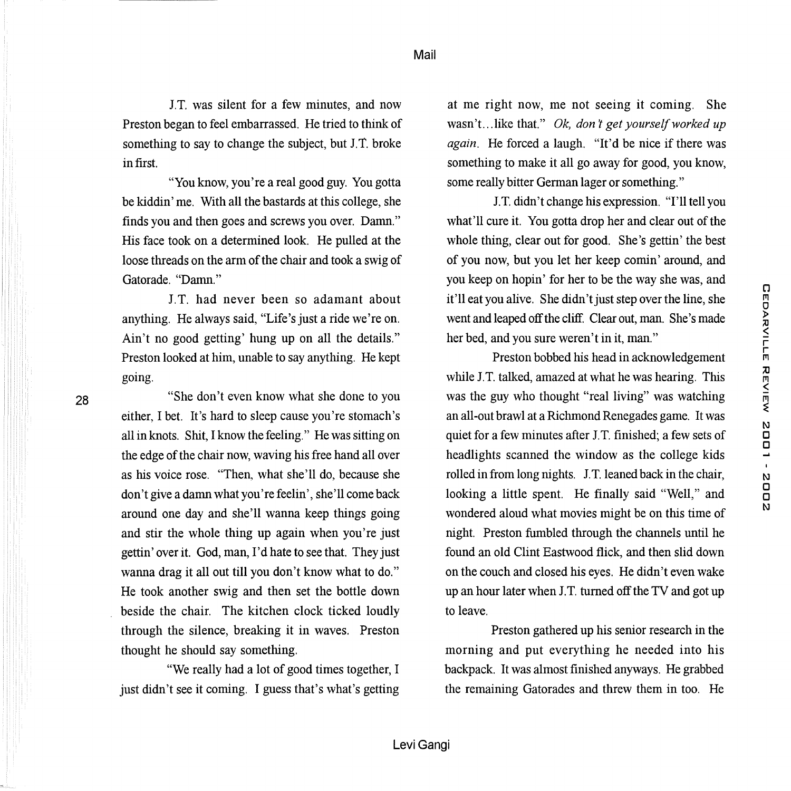Mail

J.T. was silent for a few minutes, and now Preston began to feel embarrassed. He tried to think of something to say to change the subject, but J.T. broke in first.

"You know, you're a real good guy. You gotta be kiddin' me. With all the bastards at this college, she finds you and then goes and screws you over. Damn." His face took on a determined look. He pulled at the loose threads on the arm of the chair and took a swig of Gatorade. "Damn."

J. T. had never been so adamant about anything. He always said, "Life's just a ride we're on. Ain't no good getting' hung up on all the details." Preston looked at him, unable to say anything. He kept going.

28

"She don't even know what she done to you either, I bet. It's hard to sleep cause you're stomach's all in knots. Shit, I know the feeling." He was sitting on the edge of the chair now, waving his free hand all over as his voice rose. "Then, what she'll do, because she don't give a damn what you're feelin', she'll come back around one day and she'll wanna keep things going and stir the whole thing up again when you're just gettin' over it. God, man, I'd hate to see that. They just wanna drag it all out till you don't know what to do." He took another swig and then set the bottle down beside the chair. The kitchen clock ticked loudly through the silence, breaking it in waves. Preston thought he should say something.

"We really had a lot of good times together, I just didn't see it coming. I guess that's what's getting

at me right now, me not seeing it coming. She wasn't...like that." *Ok, don't get yourself worked up again.* He forced a laugh. "It'd be nice if there was something to make it all go away for good, you know, some really bitter German lager or something."

J.T. didn't change his expression. "I'll tell you what'll cure it. You gotta drop her and clear out of the whole thing, clear out for good. She's gettin' the best of you now, but you let her keep comin' around, and you keep on hopin' for her to be the way she was, and it'll eat you alive. She didn't just step over the line, she went and leaped off the cliff. Clear out, man. She's made her bed, and you sure weren't in it, man."

Preston bobbed his head in acknowledgement while J.T. talked, amazed at what he was hearing. This was the guy who thought "real living" was watching an all-out brawl at a Richmond Renegades game. It was quiet for a few minutes after J.T. finished; a few sets of headlights scanned the window as the college kids rolled in from long nights. J.T. leaned back in the chair, looking a little spent. He finally said "Well," and wondered aloud what movies might be on this time of night. Preston fumbled through the channels until he found an old Clint Eastwood flick, and then slid down on the couch and closed his eyes. He didn't even wake up an hour later when J. T. turned off the TV and got up to leave.

Preston gathered up his senior research in the morning and put everything he needed into his backpack. It was almost finished anyways. He grabbed the remaining Gatorades and threw them in too. He